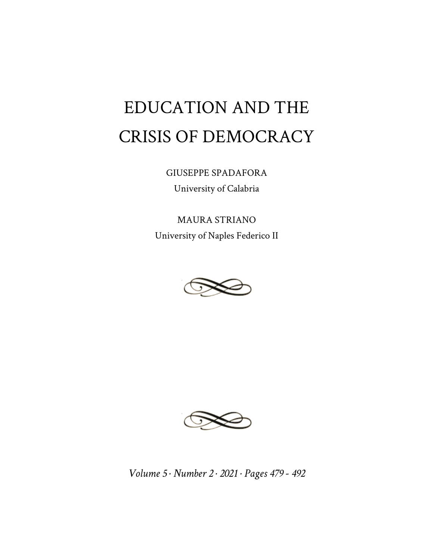# EDUCATION AND THE CRISIS OF DEMOCRACY

GIUSEPPE SPADAFORA University of Calabria

MAURA STRIANO University of Naples Federico II





*Volume 5 · Number 2 · 2021 · Pages 479 - 492*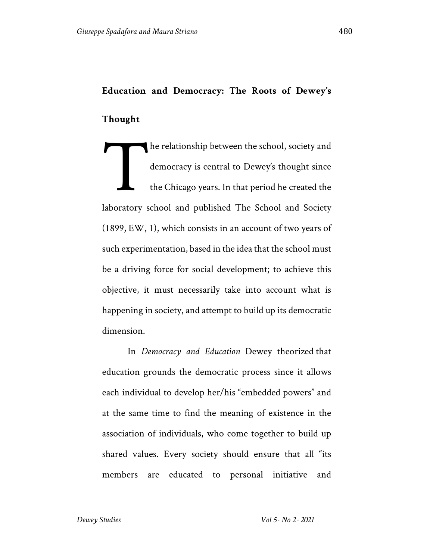# **Education and Democracy: The Roots of Dewey's Thought**

he relationship between the school, society and democracy is central to Dewey's thought since the Chicago years. In that period he created the laboratory school and published The School and Society (1899, EW, 1), which consists in an account of two years of such experimentation, based in the idea that the school must be a driving force for social development; to achieve this objective, it must necessarily take into account what is happening in society, and attempt to build up its democratic dimension. T

In *Democracy and Education* Dewey theorized that education grounds the democratic process since it allows each individual to develop her/his "embedded powers" and at the same time to find the meaning of existence in the association of individuals, who come together to build up shared values. Every society should ensure that all "its members are educated to personal initiative and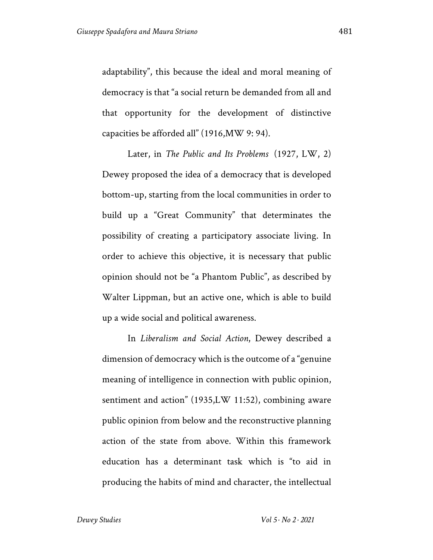adaptability", this because the ideal and moral meaning of democracy is that "a social return be demanded from all and that opportunity for the development of distinctive capacities be afforded all" (1916,MW 9: 94).

Later, in *The Public and Its Problems* (1927, LW, 2) Dewey proposed the idea of a democracy that is developed bottom-up, starting from the local communities in order to build up a "Great Community" that determinates the possibility of creating a participatory associate living. In order to achieve this objective, it is necessary that public opinion should not be "a Phantom Public", as described by Walter Lippman, but an active one, which is able to build up a wide social and political awareness.

In *Liberalism and Social Action*, Dewey described a dimension of democracy which is the outcome of a "genuine meaning of intelligence in connection with public opinion, sentiment and action" (1935,LW 11:52), combining aware public opinion from below and the reconstructive planning action of the state from above. Within this framework education has a determinant task which is "to aid in producing the habits of mind and character, the intellectual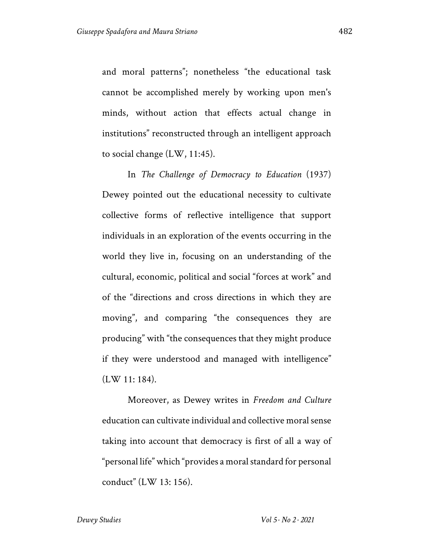and moral patterns"; nonetheless "the educational task cannot be accomplished merely by working upon men's minds, without action that effects actual change in institutions" reconstructed through an intelligent approach to social change (LW, 11:45).

In *The Challenge of Democracy to Education* (1937) Dewey pointed out the educational necessity to cultivate collective forms of reflective intelligence that support individuals in an exploration of the events occurring in the world they live in, focusing on an understanding of the cultural, economic, political and social "forces at work" and of the "directions and cross directions in which they are moving", and comparing "the consequences they are producing" with "the consequences that they might produce if they were understood and managed with intelligence" (LW 11: 184).

Moreover, as Dewey writes in *Freedom and Culture* education can cultivate individual and collective moral sense taking into account that democracy is first of all a way of "personal life" which "provides a moral standard for personal conduct" (LW 13: 156).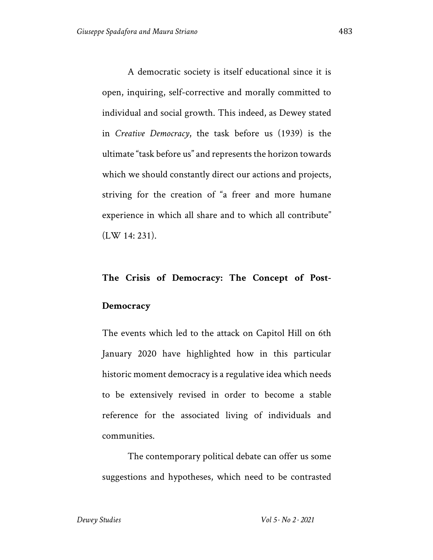A democratic society is itself educational since it is open, inquiring, self-corrective and morally committed to individual and social growth. This indeed, as Dewey stated in *Creative Democracy*, the task before us (1939) is the ultimate "task before us" and represents the horizon towards which we should constantly direct our actions and projects, striving for the creation of "a freer and more humane experience in which all share and to which all contribute" (LW 14: 231).

# **The Crisis of Democracy: The Concept of Post-**

#### **Democracy**

The events which led to the attack on Capitol Hill on 6th January 2020 have highlighted how in this particular historic moment democracy is a regulative idea which needs to be extensively revised in order to become a stable reference for the associated living of individuals and communities.

The contemporary political debate can offer us some suggestions and hypotheses, which need to be contrasted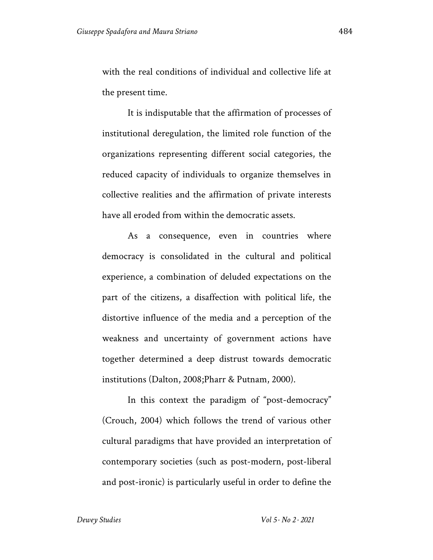with the real conditions of individual and collective life at the present time.

It is indisputable that the affirmation of processes of institutional deregulation, the limited role function of the organizations representing different social categories, the reduced capacity of individuals to organize themselves in collective realities and the affirmation of private interests have all eroded from within the democratic assets.

As a consequence, even in countries where democracy is consolidated in the cultural and political experience, a combination of deluded expectations on the part of the citizens, a disaffection with political life, the distortive influence of the media and a perception of the weakness and uncertainty of government actions have together determined a deep distrust towards democratic institutions (Dalton, 2008;Pharr & Putnam, 2000).

In this context the paradigm of "post-democracy" (Crouch, 2004) which follows the trend of various other cultural paradigms that have provided an interpretation of contemporary societies (such as post-modern, post-liberal and post-ironic) is particularly useful in order to define the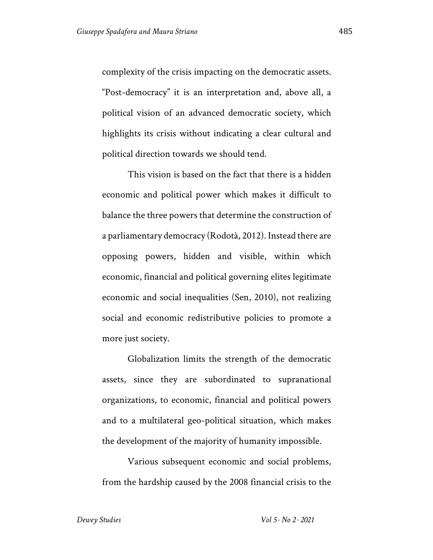complexity of the crisis impacting on the democratic assets. "Post-democracy" it is an interpretation and, above all, a political vision of an advanced democratic society, which highlights its crisis without indicating a clear cultural and political direction towards we should tend.

This vision is based on the fact that there is a hidden economic and political power which makes it difficult to balance the three powers that determine the construction of a parliamentary democracy (Rodotà, 2012). Instead there are opposing powers, hidden and visible, within which economic, financial and political governing elites legitimate economic and social inequalities (Sen, 2010), not realizing social and economic redistributive policies to promote a more just society.

Globalization limits the strength of the democratic assets, since they are subordinated to supranational organizations, to economic, financial and political powers and to a multilateral geo-political situation, which makes the development of the majority of humanity impossible.

Various subsequent economic and social problems, from the hardship caused by the 2008 financial crisis to the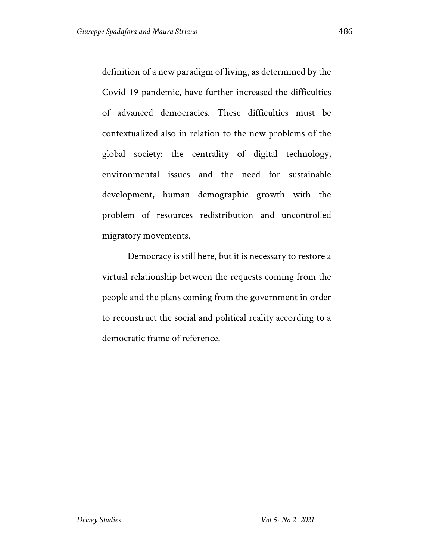definition of a new paradigm of living, as determined by the Covid-19 pandemic, have further increased the difficulties of advanced democracies. These difficulties must be contextualized also in relation to the new problems of the global society: the centrality of digital technology, environmental issues and the need for sustainable development, human demographic growth with the problem of resources redistribution and uncontrolled migratory movements.

Democracy is still here, but it is necessary to restore a virtual relationship between the requests coming from the people and the plans coming from the government in order to reconstruct the social and political reality according to a democratic frame of reference.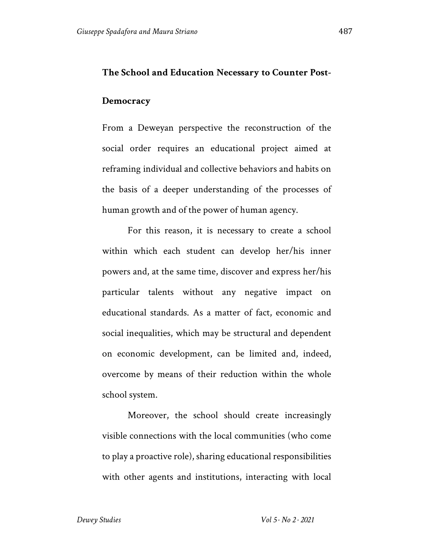## **Democracy**

From a Deweyan perspective the reconstruction of the social order requires an educational project aimed at reframing individual and collective behaviors and habits on the basis of a deeper understanding of the processes of human growth and of the power of human agency.

For this reason, it is necessary to create a school within which each student can develop her/his inner powers and, at the same time, discover and express her/his particular talents without any negative impact on educational standards. As a matter of fact, economic and social inequalities, which may be structural and dependent on economic development, can be limited and, indeed, overcome by means of their reduction within the whole school system.

Moreover, the school should create increasingly visible connections with the local communities (who come to play a proactive role), sharing educational responsibilities with other agents and institutions, interacting with local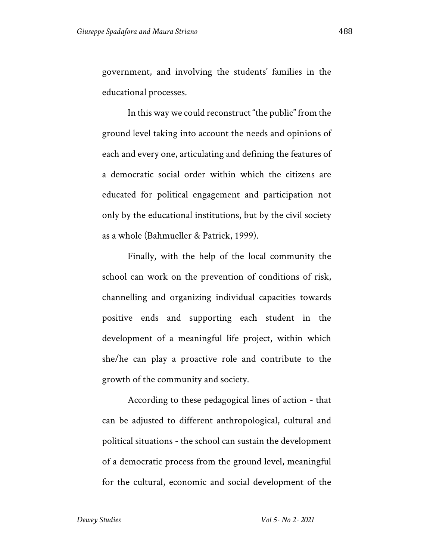government, and involving the students' families in the educational processes.

In this way we could reconstruct "the public" from the ground level taking into account the needs and opinions of each and every one, articulating and defining the features of a democratic social order within which the citizens are educated for political engagement and participation not only by the educational institutions, but by the civil society as a whole (Bahmueller & Patrick, 1999).

Finally, with the help of the local community the school can work on the prevention of conditions of risk, channelling and organizing individual capacities towards positive ends and supporting each student in the development of a meaningful life project, within which she/he can play a proactive role and contribute to the growth of the community and society.

According to these pedagogical lines of action - that can be adjusted to different anthropological, cultural and political situations - the school can sustain the development of a democratic process from the ground level, meaningful for the cultural, economic and social development of the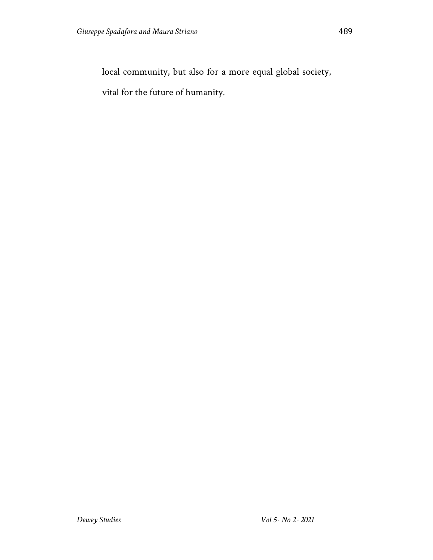local community, but also for a more equal global society,

vital for the future of humanity.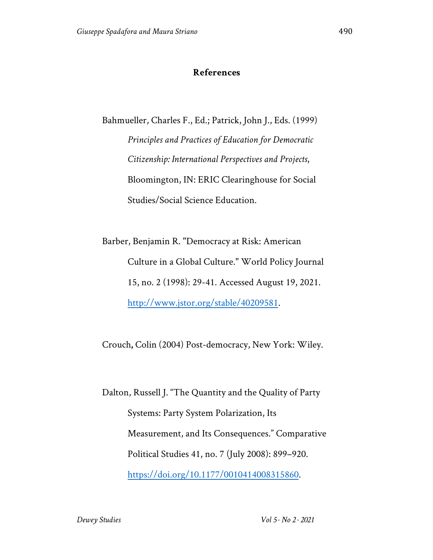## **References**

Bahmueller, Charles F., Ed.; Patrick, John J., Eds. (1999) *Principles and Practices of Education for Democratic Citizenship: International Perspectives and Projects*, Bloomington, IN: ERIC Clearinghouse for Social Studies/Social Science Education.

Barber, Benjamin R. "Democracy at Risk: American Culture in a Global Culture." World Policy Journal 15, no. 2 (1998): 29-41. Accessed August 19, 2021. http://www.jstor.org/stable/40209581.

Crouch**,** Colin (2004) Post-democracy, New York: Wiley.

Dalton, Russell J. "The Quantity and the Quality of Party Systems: Party System Polarization, Its Measurement, and Its Consequences." Comparative Political Studies 41, no. 7 (July 2008): 899–920. https://doi.org/10.1177/0010414008315860.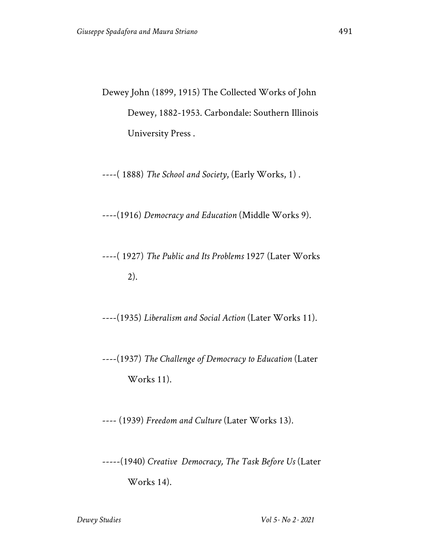Dewey John (1899, 1915) The Collected Works of John Dewey, 1882-1953. Carbondale: Southern Illinois University Press .

----( 1888) *The School and Society*, (Early Works, 1) .

----(1916) *Democracy and Education* (Middle Works 9).

----( 1927) *The Public and Its Problems* 1927 (Later Works 2).

----(1935) *Liberalism and Social Action* (Later Works 11).

----(1937) *The Challenge of Democracy to Education* (Later Works 11).

---- (1939) *Freedom and Culture* (Later Works 13).

-----(1940) *Creative Democracy, The Task Before Us* (Later Works 14).